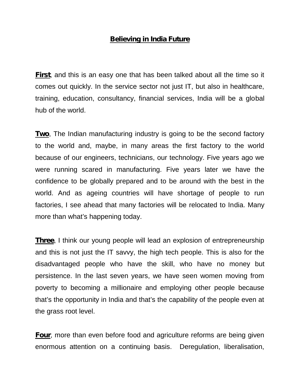## **Believing in India Future**

**First**, and this is an easy one that has been talked about all the time so it comes out quickly. In the service sector not just IT, but also in healthcare, training, education, consultancy, financial services, India will be a global hub of the world.

**Two**, The Indian manufacturing industry is going to be the second factory to the world and, maybe, in many areas the first factory to the world because of our engineers, technicians, our technology. Five years ago we were running scared in manufacturing. Five years later we have the confidence to be globally prepared and to be around with the best in the world. And as ageing countries will have shortage of people to run factories, I see ahead that many factories will be relocated to India. Many more than what's happening today.

**Three**, I think our young people will lead an explosion of entrepreneurship and this is not just the IT savvy, the high tech people. This is also for the disadvantaged people who have the skill, who have no money but persistence. In the last seven years, we have seen women moving from poverty to becoming a millionaire and employing other people because that's the opportunity in India and that's the capability of the people even at the grass root level.

**Four**, more than even before food and agriculture reforms are being given enormous attention on a continuing basis. Deregulation, liberalisation,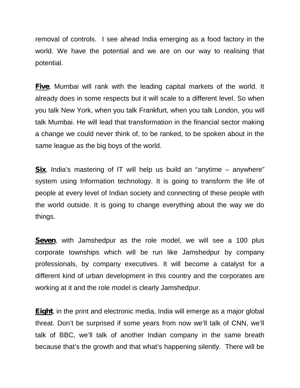removal of controls. I see ahead India emerging as a food factory in the world. We have the potential and we are on our way to realising that potential.

**Five**, Mumbai will rank with the leading capital markets of the world. It already does in some respects but it will scale to a different level. So when you talk New York, when you talk Frankfurt, when you talk London, you will talk Mumbai. He will lead that transformation in the financial sector making a change we could never think of, to be ranked, to be spoken about in the same league as the big boys of the world.

**Six**, India's mastering of IT will help us build an "anytime – anywhere" system using Information technology. It is going to transform the life of people at every level of Indian society and connecting of these people with the world outside. It is going to change everything about the way we do things.

**Seven**, with Jamshedpur as the role model, we will see a 100 plus corporate townships which will be run like Jamshedpur by company professionals, by company executives. It will become a catalyst for a different kind of urban development in this country and the corporates are working at it and the role model is clearly Jamshedpur.

**Eight**, in the print and electronic media, India will emerge as a major global threat. Don't be surprised if some years from now we'll talk of CNN, we'll talk of BBC, we'll talk of another Indian company in the same breath because that's the growth and that what's happening silently. There will be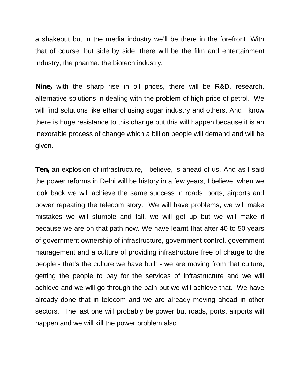a shakeout but in the media industry we'll be there in the forefront. With that of course, but side by side, there will be the film and entertainment industry, the pharma, the biotech industry.

**Nine,** with the sharp rise in oil prices, there will be R&D, research, alternative solutions in dealing with the problem of high price of petrol. We will find solutions like ethanol using sugar industry and others. And I know there is huge resistance to this change but this will happen because it is an inexorable process of change which a billion people will demand and will be given.

**Ten,** an explosion of infrastructure, I believe, is ahead of us. And as I said the power reforms in Delhi will be history in a few years, I believe, when we look back we will achieve the same success in roads, ports, airports and power repeating the telecom story. We will have problems, we will make mistakes we will stumble and fall, we will get up but we will make it because we are on that path now. We have learnt that after 40 to 50 years of government ownership of infrastructure, government control, government management and a culture of providing infrastructure free of charge to the people - that's the culture we have built - we are moving from that culture, getting the people to pay for the services of infrastructure and we will achieve and we will go through the pain but we will achieve that. We have already done that in telecom and we are already moving ahead in other sectors. The last one will probably be power but roads, ports, airports will happen and we will kill the power problem also.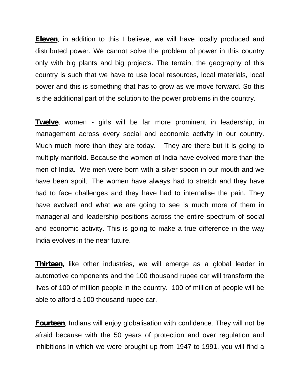**Eleven**, in addition to this I believe, we will have locally produced and distributed power. We cannot solve the problem of power in this country only with big plants and big projects. The terrain, the geography of this country is such that we have to use local resources, local materials, local power and this is something that has to grow as we move forward. So this is the additional part of the solution to the power problems in the country.

**Twelve**, women - girls will be far more prominent in leadership, in management across every social and economic activity in our country. Much much more than they are today. They are there but it is going to multiply manifold. Because the women of India have evolved more than the men of India. We men were born with a silver spoon in our mouth and we have been spoilt. The women have always had to stretch and they have had to face challenges and they have had to internalise the pain. They have evolved and what we are going to see is much more of them in managerial and leadership positions across the entire spectrum of social and economic activity. This is going to make a true difference in the way India evolves in the near future.

**Thirteen,** like other industries, we will emerge as a global leader in automotive components and the 100 thousand rupee car will transform the lives of 100 of million people in the country. 100 of million of people will be able to afford a 100 thousand rupee car.

**Fourteen**, Indians will enjoy globalisation with confidence. They will not be afraid because with the 50 years of protection and over regulation and inhibitions in which we were brought up from 1947 to 1991, you will find a